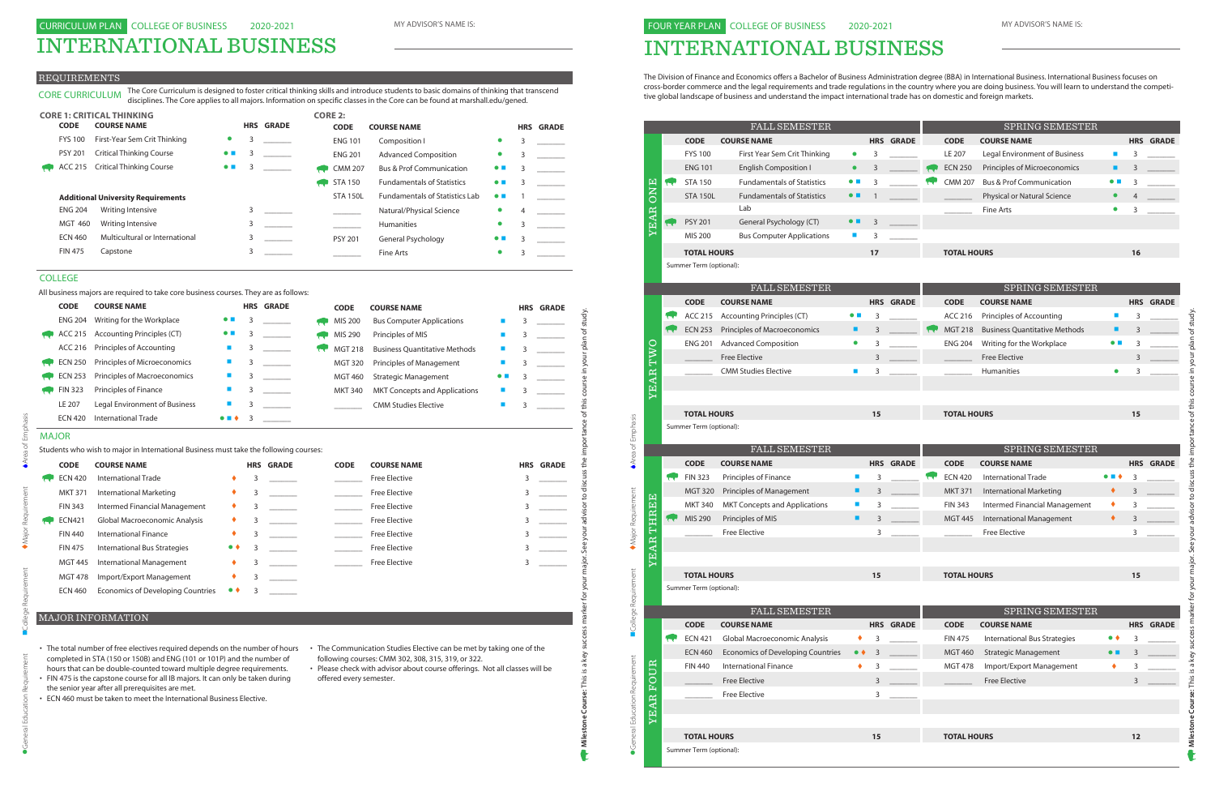# INTERNATIONAL BUSINESS

#### REQUIREMENTS

#### MAJOR

|                | LUUNJL INAINI                                                                         |                             |   |                  | LUDE           | LUUNJE INAIVIE                       |                          |   | unnuc            |
|----------------|---------------------------------------------------------------------------------------|-----------------------------|---|------------------|----------------|--------------------------------------|--------------------------|---|------------------|
| <b>ENG 204</b> | Writing for the Workplace                                                             | $\bullet$ $\blacksquare$    | 3 |                  | MIS 200        | <b>Bus Computer Applications</b>     |                          | 3 |                  |
| ACC 215        | <b>Accounting Principles (CT)</b>                                                     |                             | 3 |                  | MIS 290        | Principles of MIS                    |                          | 3 |                  |
| ACC 216        | Principles of Accounting                                                              | $\mathcal{L}_{\mathcal{A}}$ | 3 |                  | <b>MGT 218</b> | <b>Business Quantitative Methods</b> | ш                        | 3 |                  |
| <b>ECN 250</b> | Principles of Microeconomics                                                          | ×                           | 3 |                  | <b>MGT 320</b> | Principles of Management             | E                        | 3 |                  |
| <b>ECN 253</b> | Principles of Macroeconomics                                                          | $\blacksquare$              | 3 |                  | <b>MGT 460</b> | <b>Strategic Management</b>          | $\bullet$ $\blacksquare$ | 3 |                  |
| <b>FIN 323</b> | Principles of Finance                                                                 |                             | 3 |                  | <b>MKT 340</b> | <b>MKT Concepts and Applications</b> |                          | 3 |                  |
| LE 207         | Legal Environment of Business                                                         |                             | 3 |                  |                | <b>CMM Studies Elective</b>          | <b>I</b>                 | 3 |                  |
| <b>ECN 420</b> | <b>International Trade</b>                                                            |                             | 3 |                  |                |                                      |                          |   |                  |
| <b>MAJOR</b>   |                                                                                       |                             |   |                  |                |                                      |                          |   |                  |
|                | Students who wish to major in International Business must take the following courses: |                             |   |                  |                |                                      |                          |   |                  |
| <b>CODE</b>    | <b>COURSE NAME</b>                                                                    |                             |   | <b>HRS GRADE</b> | <b>CODE</b>    | <b>COURSE NAME</b>                   |                          |   | <b>HRS GRADE</b> |
| <b>ECN 420</b> | International Trade                                                                   |                             | 3 |                  |                | <b>Free Elective</b>                 |                          | 3 |                  |
| <b>MKT 371</b> | <b>International Marketing</b>                                                        |                             | 3 |                  |                | <b>Free Elective</b>                 |                          | 3 |                  |
| <b>FIN 343</b> | Intermed Financial Management                                                         |                             | 3 |                  |                | <b>Free Elective</b>                 |                          | 3 |                  |
| <b>ECN421</b>  | Global Macroeconomic Analysis                                                         |                             | 3 |                  |                | <b>Free Elective</b>                 |                          | 3 |                  |
| <b>FIN 440</b> | <b>International Finance</b>                                                          | ٠                           | 3 |                  |                | <b>Free Elective</b>                 |                          | 3 |                  |
| <b>FIN 475</b> | International Bus Strategies                                                          | $\bullet\; \bullet$         | 3 |                  |                | <b>Free Elective</b>                 |                          | 3 |                  |
| <b>MGT 445</b> | <b>International Management</b>                                                       |                             | 3 |                  |                | <b>Free Elective</b>                 |                          | 3 |                  |
| <b>MGT 478</b> | Import/Export Management                                                              | ٠                           | 3 |                  |                |                                      |                          |   |                  |
| <b>ECN 460</b> | <b>Economics of Developing Countries</b>                                              |                             | 3 |                  |                |                                      |                          |   |                  |
|                |                                                                                       |                             |   |                  |                |                                      |                          |   |                  |
|                | <b>MAJOR INFORMATION</b>                                                              |                             |   |                  |                |                                      |                          |   |                  |

|                | <b>CORE 1: CRITICAL THINKING</b>          |                          |   |                  | <b>CORE 2:</b>  |                                       |                          |   |                  |
|----------------|-------------------------------------------|--------------------------|---|------------------|-----------------|---------------------------------------|--------------------------|---|------------------|
| <b>CODE</b>    | <b>COURSE NAME</b>                        |                          |   | <b>HRS GRADE</b> | <b>CODE</b>     | <b>COURSE NAME</b>                    |                          |   | <b>HRS GRADE</b> |
| <b>FYS 100</b> | First-Year Sem Crit Thinking              | $\bullet$                | 3 |                  | <b>ENG 101</b>  | Composition I                         | $\bullet$                | 3 |                  |
| <b>PSY 201</b> | <b>Critical Thinking Course</b>           | $\bullet$ $\blacksquare$ | 3 |                  | <b>ENG 201</b>  | <b>Advanced Composition</b>           |                          | 3 |                  |
| ACC 215        | <b>Critical Thinking Course</b>           | $\bullet$ $\blacksquare$ | 3 |                  | <b>CMM 207</b>  | <b>Bus &amp; Prof Communication</b>   | $\bullet$ $\blacksquare$ | 3 |                  |
|                |                                           |                          |   |                  | <b>STA 150</b>  | <b>Fundamentals of Statistics</b>     | $\bullet$ $\blacksquare$ | 3 |                  |
|                | <b>Additional University Requirements</b> |                          |   |                  | <b>STA 150L</b> | <b>Fundamentals of Statistics Lab</b> | $\bullet$ H              |   |                  |
| <b>ENG 204</b> | Writing Intensive                         |                          | 3 |                  |                 | Natural/Physical Science              | $\bullet$                | 4 |                  |
| <b>MGT 460</b> | Writing Intensive                         |                          | 3 |                  |                 | <b>Humanities</b>                     | $\bullet$                | 3 |                  |
| <b>ECN 460</b> | Multicultural or International            |                          | 3 |                  | <b>PSY 201</b>  | General Psychology                    | $\bullet$ H              | 3 |                  |
| <b>FIN 475</b> | Capstone                                  |                          | 3 |                  |                 | Fine Arts                             |                          | 3 |                  |

CORE CURRICULUM The Core Curriculum is designed to foster critical thinking skills and introduce students to basic domains of thinking that transcend

- The total number of free electives required depends on the number of hours The Communication Studies Elective can be met by taking one of the completed in STA (150 or 150B) and ENG (101 or 101P) and the number of hours that can be double-counted toward multiple degree requirements.
- FIN 475 is the capstone course for all IB majors. It can only be taken during the senior year after all prerequisites are met.
- ECN 460 must be taken to meet the International Business Elective.
- following courses: CMM 302, 308, 315, 319, or 322.
- Please check with advisor about course offerings. Not all classes will be offered every semester.

#### MAJOR INFORMATION

#### COLLEGE

All business majors are required to take core business courses. They are as follows:

| <b>CODE</b>    | <b>COURSE NAME</b>                  |                          |   | <b>HRS GRADE</b> |                 | <b>CODE</b>    | <b>COURSE NAME</b>                   |             |   | <b>HRS GRADE</b> |
|----------------|-------------------------------------|--------------------------|---|------------------|-----------------|----------------|--------------------------------------|-------------|---|------------------|
| <b>ENG 204</b> | Writing for the Workplace           | $\bullet$ $\blacksquare$ | 3 |                  |                 | MIS 200        | <b>Bus Computer Applications</b>     |             |   |                  |
| ACC 215        | Accounting Principles (CT)          | $\bullet$ .              |   |                  |                 | MIS 290        | Principles of MIS                    |             | 3 |                  |
| ACC 216        | Principles of Accounting            |                          |   |                  | <b>Terminal</b> | <b>MGT 218</b> | <b>Business Ouantitative Methods</b> |             |   |                  |
| <b>ECN 250</b> | Principles of Microeconomics        |                          |   |                  |                 | <b>MGT 320</b> | <b>Principles of Management</b>      |             |   |                  |
| <b>ECN 253</b> | <b>Principles of Macroeconomics</b> |                          | 3 |                  |                 | <b>MGT 460</b> | <b>Strategic Management</b>          | $\bullet$ H |   |                  |
| <b>FIN 323</b> | Principles of Finance               |                          | 3 |                  |                 | <b>MKT 340</b> | <b>MKT Concepts and Applications</b> |             |   |                  |
| LE 207         | Legal Environment of Business       |                          | 3 |                  |                 |                | <b>CMM Studies Elective</b>          |             |   |                  |
| <b>ECN 420</b> | International Trade                 | $\bullet$ . $\bullet$    | 3 |                  |                 |                |                                      |             |   |                  |

disciplines. The Core applies to all majors. Information on specific classes in the Core can be found at marshall.edu/gened.

## INTERNATIONAL BUSINESS

FOUR YEAR PLAN COLLEGE OF BUSINESS

The Division of Finance and Economics offers a Bachelor of Business Administration degree (BBA) in International Business. International Business focuses on cross-border commerce and the legal requirements and trade regulations in the country where you are doing business. You will learn to understand the competitive global landscape of business and understand the impact international trade has on domestic and foreign markets.

|                               |                  |                         |                                               | <b>FALL SEMESTER</b>                     |                          | SPRING SEMESTER |                  |              |                    |                                      |                          |    |                  |
|-------------------------------|------------------|-------------------------|-----------------------------------------------|------------------------------------------|--------------------------|-----------------|------------------|--------------|--------------------|--------------------------------------|--------------------------|----|------------------|
|                               |                  |                         | <b>CODE</b>                                   | <b>COURSE NAME</b>                       |                          |                 | <b>HRS GRADE</b> |              | <b>CODE</b>        | <b>COURSE NAME</b>                   |                          |    | <b>HRS GRADE</b> |
|                               |                  |                         | <b>FYS 100</b>                                | First Year Sem Crit Thinking             | $\bullet$                | 3               |                  |              | LE 207             | Legal Environment of Business        | m.                       | 3  |                  |
|                               |                  |                         | <b>ENG 101</b>                                | <b>English Composition I</b>             | $\bullet$                | 3               |                  |              | <b>ECN 250</b>     | Principles of Microeconomics         | ٠                        | 3  |                  |
|                               |                  | <b>Co</b>               | <b>STA 150</b>                                | <b>Fundamentals of Statistics</b>        | $\bullet$ $\blacksquare$ | 3               |                  |              | <b>CMM 207</b>     | <b>Bus &amp; Prof Communication</b>  | $\bullet$ $\blacksquare$ | 3  |                  |
|                               | ONE              |                         | <b>STA 150L</b>                               | <b>Fundamentals of Statistics</b>        | $\bullet$ $\blacksquare$ | $\mathbf{1}$    |                  |              |                    | Physical or Natural Science          | $\bullet$                | 4  |                  |
|                               |                  |                         |                                               | Lab                                      |                          |                 |                  |              |                    | Fine Arts                            | $\bullet$                | 3  |                  |
|                               | <b>YEAR</b>      |                         | <b>PSY 201</b>                                | General Psychology (CT)                  | $\bullet$ $\blacksquare$ | 3               |                  |              |                    |                                      |                          |    |                  |
|                               |                  |                         | <b>MIS 200</b>                                | <b>Bus Computer Applications</b>         | $\mathbf{r}$             | 3               |                  |              |                    |                                      |                          |    |                  |
|                               |                  |                         | <b>TOTAL HOURS</b>                            |                                          |                          | 17              |                  |              | <b>TOTAL HOURS</b> |                                      |                          | 16 |                  |
|                               |                  |                         | Summer Term (optional):                       |                                          |                          |                 |                  |              |                    |                                      |                          |    |                  |
|                               |                  |                         |                                               | FALL SEMESTER                            |                          |                 |                  |              |                    | SPRING SEMESTER                      |                          |    |                  |
|                               |                  |                         | <b>CODE</b>                                   | <b>COURSE NAME</b>                       |                          |                 | <b>HRS GRADE</b> |              | <b>CODE</b>        | <b>COURSE NAME</b>                   |                          |    | <b>HRS GRADE</b> |
|                               |                  |                         | ACC 215                                       | <b>Accounting Principles (CT)</b>        | $\bullet$ $\blacksquare$ | 3               |                  |              | ACC 216            | Principles of Accounting             | ×                        | 3  |                  |
|                               |                  |                         | <b>ECN 253</b>                                | Principles of Macroeconomics             | ш                        | 3               |                  |              | <b>MGT 218</b>     | <b>Business Ouantitative Methods</b> | ٠                        | 3  |                  |
|                               |                  |                         | <b>ENG 201</b>                                | <b>Advanced Composition</b>              | $\bullet$                | 3               |                  |              | <b>ENG 204</b>     | Writing for the Workplace            | $\bullet$ $\blacksquare$ | 3  |                  |
|                               | TWO              |                         |                                               | <b>Free Elective</b>                     |                          | 3               |                  |              |                    | <b>Free Elective</b>                 |                          | 3  |                  |
|                               |                  |                         |                                               | <b>CMM Studies Elective</b>              | ш                        | 3               |                  |              |                    | Humanities                           | $\bullet$                | 3  |                  |
|                               | YEAR             |                         |                                               |                                          |                          |                 |                  |              |                    |                                      |                          |    |                  |
|                               |                  |                         |                                               |                                          |                          |                 |                  |              |                    |                                      |                          |    |                  |
|                               |                  |                         | <b>TOTAL HOURS</b>                            |                                          |                          | 15              |                  |              | <b>TOTAL HOURS</b> |                                      |                          | 15 |                  |
|                               |                  | Summer Term (optional): |                                               |                                          |                          |                 |                  |              |                    |                                      |                          |    |                  |
|                               |                  |                         |                                               |                                          |                          |                 |                  |              |                    |                                      |                          |    |                  |
|                               |                  |                         |                                               |                                          |                          |                 |                  |              |                    |                                      |                          |    |                  |
|                               |                  |                         |                                               | FALL SEMESTER                            |                          |                 |                  |              |                    | SPRING SEMESTER                      |                          |    |                  |
| Area of Emphasis              |                  |                         | <b>CODE</b>                                   | <b>COURSE NAME</b>                       |                          |                 | <b>HRS GRADE</b> |              | <b>CODE</b>        | <b>COURSE NAME</b>                   |                          |    | <b>HRS GRADE</b> |
|                               |                  |                         | <b>FIN 323</b>                                | Principles of Finance                    | <b>CONTRACTOR</b>        | 3               |                  | <b>Terms</b> | <b>ECN 420</b>     | <b>International Trade</b>           |                          | 3  |                  |
|                               |                  |                         | <b>MGT 320</b>                                | Principles of Management                 | ■                        | 3               |                  |              | <b>MKT 371</b>     | <b>International Marketing</b>       | ٠                        | 3  |                  |
|                               |                  |                         | <b>MKT 340</b>                                | <b>MKT Concepts and Applications</b>     |                          | 3               |                  |              | <b>FIN 343</b>     | Intermed Financial Management        | ٠                        | 3  |                  |
|                               |                  | <b>Telesis</b>          | MIS 290                                       | Principles of MIS                        |                          | 3               |                  |              | <b>MGT 445</b>     | <b>International Management</b>      | ٠                        | 3  |                  |
|                               | THREE            |                         |                                               | <b>Free Elective</b>                     |                          | 3               |                  |              |                    | <b>Free Elective</b>                 |                          | 3  |                  |
|                               | <b>EAR</b>       |                         |                                               |                                          |                          |                 |                  |              |                    |                                      |                          |    |                  |
|                               | ↣                |                         |                                               |                                          |                          |                 |                  |              |                    |                                      |                          |    |                  |
|                               |                  |                         | <b>TOTAL HOURS</b><br>Summer Term (optional): |                                          |                          | 15              |                  |              | <b>TOTAL HOURS</b> |                                      |                          | 15 |                  |
| Major Requirement             |                  |                         |                                               |                                          |                          |                 |                  |              |                    |                                      |                          |    |                  |
|                               |                  |                         |                                               | FALL SEMESTER                            |                          |                 |                  |              |                    | SPRING SEMESTER                      |                          |    |                  |
|                               |                  |                         | <b>CODE</b>                                   | <b>COURSE NAME</b>                       |                          |                 | <b>HRS GRADE</b> |              | <b>CODE</b>        | <b>COURSE NAME</b>                   |                          |    | <b>HRS GRADE</b> |
|                               |                  |                         | <b>ECN 421</b>                                | Global Macroeconomic Analysis            | ٠                        | 3               |                  |              | <b>FIN 475</b>     | International Bus Strategies         | $\bullet\bullet$         | 3  |                  |
|                               |                  |                         | <b>ECN 460</b>                                | <b>Economics of Developing Countries</b> | $\bullet \bullet$        | 3               |                  |              | <b>MGT 460</b>     | <b>Strategic Management</b>          | $\bullet$ $\blacksquare$ | 3  |                  |
|                               |                  |                         | <b>FIN 440</b>                                | <b>International Finance</b>             | ٠                        | 3               |                  |              | <b>MGT 478</b>     | Import/Export Management             | ٠                        | 3  |                  |
|                               |                  |                         |                                               | <b>Free Elective</b>                     |                          | 3               |                  |              |                    | <b>Free Elective</b>                 |                          | 3  |                  |
|                               |                  |                         |                                               | <b>Free Elective</b>                     |                          | 3               |                  |              |                    |                                      |                          |    |                  |
|                               |                  |                         |                                               |                                          |                          |                 |                  |              |                    |                                      |                          |    |                  |
| College Requirement           | <b>YEAR FOUR</b> |                         |                                               |                                          |                          |                 |                  |              |                    |                                      |                          |    |                  |
| General Education Requirement |                  |                         | <b>TOTAL HOURS</b><br>Summer Term (optional): |                                          |                          | 15              |                  |              | <b>TOTAL HOURS</b> |                                      |                          | 12 |                  |